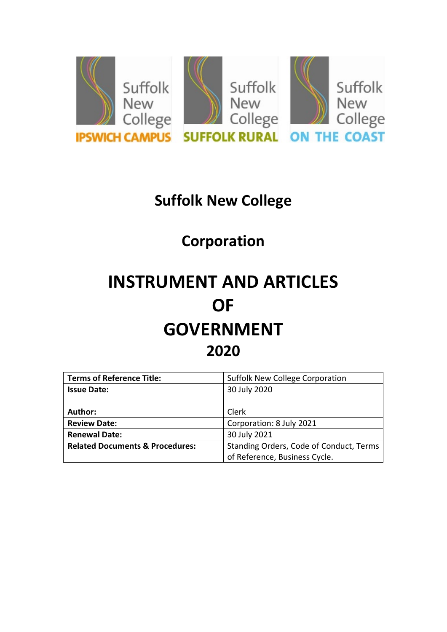

# **Suffolk New College**

# **Corporation**

# **INSTRUMENT AND ARTICLES OF GOVERNMENT 2020**

| <b>Terms of Reference Title:</b>           | <b>Suffolk New College Corporation</b>  |
|--------------------------------------------|-----------------------------------------|
| <b>Issue Date:</b>                         | 30 July 2020                            |
|                                            |                                         |
| Author:                                    | <b>Clerk</b>                            |
| <b>Review Date:</b>                        | Corporation: 8 July 2021                |
| <b>Renewal Date:</b>                       | 30 July 2021                            |
| <b>Related Documents &amp; Procedures:</b> | Standing Orders, Code of Conduct, Terms |
|                                            | of Reference, Business Cycle.           |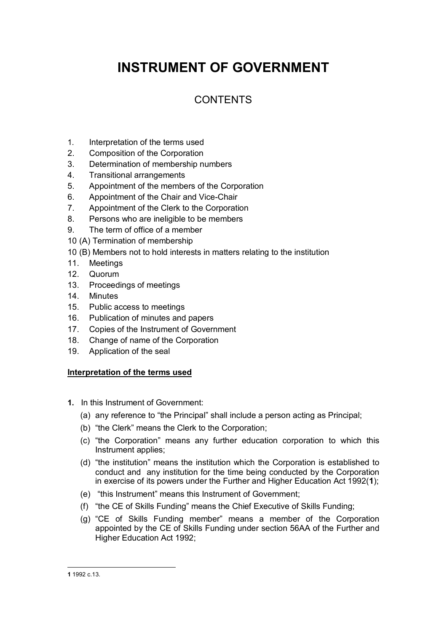## **INSTRUMENT OF GOVERNMENT**

### **CONTENTS**

- 1. Interpretation of the terms used
- 2. Composition of the Corporation
- 3. Determination of membership numbers
- 4. Transitional arrangements
- 5. Appointment of the members of the Corporation
- 6. Appointment of the Chair and Vice-Chair
- 7. Appointment of the Clerk to the Corporation
- 8. Persons who are ineligible to be members
- 9. The term of office of a member
- 10 (A) Termination of membership
- 10 (B) Members not to hold interests in matters relating to the institution
- 11. Meetings
- 12. Quorum
- 13. Proceedings of meetings
- 14. Minutes
- 15. Public access to meetings
- 16. Publication of minutes and papers
- 17. Copies of the Instrument of Government
- 18. Change of name of the Corporation
- 19. Application of the seal

### **Interpretation of the terms used**

- **1.** In this Instrument of Government:
	- (a) any reference to "the Principal" shall include a person acting as Principal;
	- (b) "the Clerk" means the Clerk to the Corporation;
	- (c) "the Corporation" means any further education corporation to which this Instrument applies;
	- (d) "the institution" means the institution which the Corporation is established to conduct and any institution for the time being conducted by the Corporation in exercise of its powers under the Further and Higher Education Act 1992(**[1](#page-1-0)**);
	- (e) "this Instrument" means this Instrument of Government;
	- (f) "the CE of Skills Funding" means the Chief Executive of Skills Funding;
	- (g) "CE of Skills Funding member" means a member of the Corporation appointed by the CE of Skills Funding under section 56AA of the Further and Higher Education Act 1992;

<span id="page-1-0"></span><sup>-</sup>**1** 1992 c.13.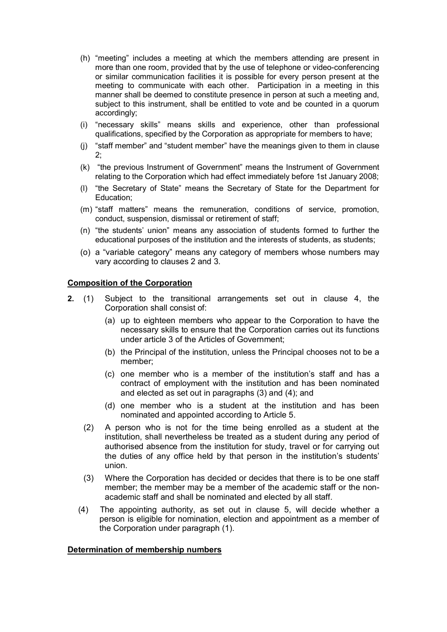- (h) "meeting" includes a meeting at which the members attending are present in more than one room, provided that by the use of telephone or video-conferencing or similar communication facilities it is possible for every person present at the meeting to communicate with each other. Participation in a meeting in this manner shall be deemed to constitute presence in person at such a meeting and, subject to this instrument, shall be entitled to vote and be counted in a quorum accordingly;
- (i) "necessary skills" means skills and experience, other than professional qualifications, specified by the Corporation as appropriate for members to have;
- (j) "staff member" and "student member" have the meanings given to them in clause 2;
- (k) "the previous Instrument of Government" means the Instrument of Government relating to the Corporation which had effect immediately before 1st January 2008;
- (l) "the Secretary of State" means the Secretary of State for the Department for Education;
- (m) "staff matters" means the remuneration, conditions of service, promotion, conduct, suspension, dismissal or retirement of staff;
- (n) "the students' union" means any association of students formed to further the educational purposes of the institution and the interests of students, as students;
- (o) a "variable category" means any category of members whose numbers may vary according to clauses 2 and 3.

### **Composition of the Corporation**

- **2.** (1) Subject to the transitional arrangements set out in clause 4, the Corporation shall consist of:
	- (a) up to eighteen members who appear to the Corporation to have the necessary skills to ensure that the Corporation carries out its functions under article 3 of the Articles of Government;
	- (b) the Principal of the institution, unless the Principal chooses not to be a member;
	- (c) one member who is a member of the institution's staff and has a contract of employment with the institution and has been nominated and elected as set out in paragraphs (3) and (4); and
	- (d) one member who is a student at the institution and has been nominated and appointed according to Article 5.
	- (2) A person who is not for the time being enrolled as a student at the institution, shall nevertheless be treated as a student during any period of authorised absence from the institution for study, travel or for carrying out the duties of any office held by that person in the institution's students' union.
	- (3) Where the Corporation has decided or decides that there is to be one staff member; the member may be a member of the academic staff or the nonacademic staff and shall be nominated and elected by all staff.
	- (4) The appointing authority, as set out in clause 5, will decide whether a person is eligible for nomination, election and appointment as a member of the Corporation under paragraph (1).

### **Determination of membership numbers**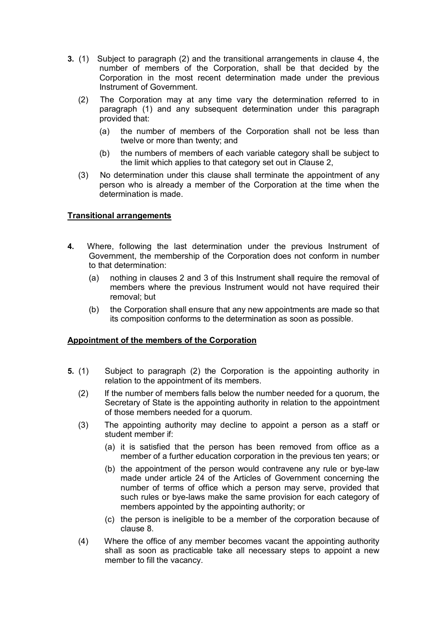- **3.** (1)Subject to paragraph (2) and the transitional arrangements in clause 4, the number of members of the Corporation, shall be that decided by the Corporation in the most recent determination made under the previous Instrument of Government.
	- (2) The Corporation may at any time vary the determination referred to in paragraph (1) and any subsequent determination under this paragraph provided that:
		- (a) the number of members of the Corporation shall not be less than twelve or more than twenty; and
		- (b) the numbers of members of each variable category shall be subject to the limit which applies to that category set out in Clause 2,
	- (3) No determination under this clause shall terminate the appointment of any person who is already a member of the Corporation at the time when the determination is made.

### **Transitional arrangements**

- **4.** Where, following the last determination under the previous Instrument of Government, the membership of the Corporation does not conform in number to that determination:
	- (a) nothing in clauses 2 and 3 of this Instrument shall require the removal of members where the previous Instrument would not have required their removal; but
	- (b) the Corporation shall ensure that any new appointments are made so that its composition conforms to the determination as soon as possible.

### **Appointment of the members of the Corporation**

- **5.** (1) Subject to paragraph (2) the Corporation is the appointing authority in relation to the appointment of its members.
	- (2) If the number of members falls below the number needed for a quorum, the Secretary of State is the appointing authority in relation to the appointment of those members needed for a quorum.
	- (3) The appointing authority may decline to appoint a person as a staff or student member if:
		- (a) it is satisfied that the person has been removed from office as a member of a further education corporation in the previous ten years; or
		- (b) the appointment of the person would contravene any rule or bye-law made under article 24 of the Articles of Government concerning the number of terms of office which a person may serve, provided that such rules or bye-laws make the same provision for each category of members appointed by the appointing authority; or
		- (c) the person is ineligible to be a member of the corporation because of clause 8.
	- (4) Where the office of any member becomes vacant the appointing authority shall as soon as practicable take all necessary steps to appoint a new member to fill the vacancy.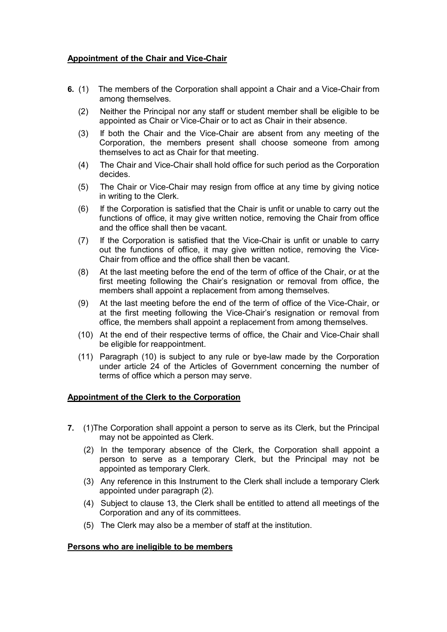### **Appointment of the Chair and Vice-Chair**

- **6.** (1)The members of the Corporation shall appoint a Chair and a Vice-Chair from among themselves.
	- (2) Neither the Principal nor any staff or student member shall be eligible to be appointed as Chair or Vice-Chair or to act as Chair in their absence.
	- (3) If both the Chair and the Vice-Chair are absent from any meeting of the Corporation, the members present shall choose someone from among themselves to act as Chair for that meeting.
	- (4) The Chair and Vice-Chair shall hold office for such period as the Corporation decides.
	- (5) The Chair or Vice-Chair may resign from office at any time by giving notice in writing to the Clerk.
	- (6) If the Corporation is satisfied that the Chair is unfit or unable to carry out the functions of office, it may give written notice, removing the Chair from office and the office shall then be vacant.
	- (7) If the Corporation is satisfied that the Vice-Chair is unfit or unable to carry out the functions of office, it may give written notice, removing the Vice-Chair from office and the office shall then be vacant.
	- (8) At the last meeting before the end of the term of office of the Chair, or at the first meeting following the Chair's resignation or removal from office, the members shall appoint a replacement from among themselves.
	- (9) At the last meeting before the end of the term of office of the Vice-Chair, or at the first meeting following the Vice-Chair's resignation or removal from office, the members shall appoint a replacement from among themselves.
	- (10) At the end of their respective terms of office, the Chair and Vice-Chair shall be eligible for reappointment.
	- (11) Paragraph (10) is subject to any rule or bye-law made by the Corporation under article 24 of the Articles of Government concerning the number of terms of office which a person may serve.

### **Appointment of the Clerk to the Corporation**

- **7.** (1)The Corporation shall appoint a person to serve as its Clerk, but the Principal may not be appointed as Clerk.
	- (2) In the temporary absence of the Clerk, the Corporation shall appoint a person to serve as a temporary Clerk, but the Principal may not be appointed as temporary Clerk.
	- (3) Any reference in this Instrument to the Clerk shall include a temporary Clerk appointed under paragraph (2).
	- (4) Subject to clause 13, the Clerk shall be entitled to attend all meetings of the Corporation and any of its committees.
	- (5) The Clerk may also be a member of staff at the institution.

### **Persons who are ineligible to be members**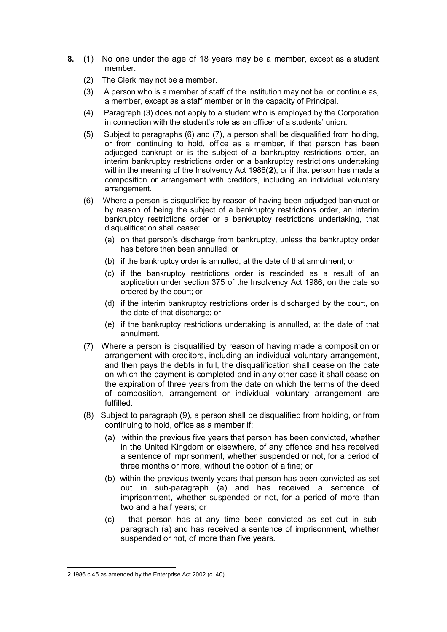- **8.** (1)No one under the age of 18 years may be a member, except as a student member.
	- (2) The Clerk may not be a member.
	- (3) A person who is a member of staff of the institution may not be, or continue as, a member, except as a staff member or in the capacity of Principal.
	- (4) Paragraph (3) does not apply to a student who is employed by the Corporation in connection with the student's role as an officer of a students' union.
	- (5) Subject to paragraphs (6) and (7), a person shall be disqualified from holding, or from continuing to hold, office as a member, if that person has been adjudged bankrupt or is the subject of a bankruptcy restrictions order, an interim bankruptcy restrictions order or a bankruptcy restrictions undertaking within the meaning of the Insolvency Act 1986(**[2](#page-5-0)**), or if that person has made a composition or arrangement with creditors, including an individual voluntary arrangement.
	- (6) Where a person is disqualified by reason of having been adjudged bankrupt or by reason of being the subject of a bankruptcy restrictions order, an interim bankruptcy restrictions order or a bankruptcy restrictions undertaking, that disqualification shall cease:
		- (a) on that person's discharge from bankruptcy, unless the bankruptcy order has before then been annulled; or
		- (b) if the bankruptcy order is annulled, at the date of that annulment; or
		- (c) if the bankruptcy restrictions order is rescinded as a result of an application under section 375 of the Insolvency Act 1986, on the date so ordered by the court; or
		- (d) if the interim bankruptcy restrictions order is discharged by the court, on the date of that discharge; or
		- (e) if the bankruptcy restrictions undertaking is annulled, at the date of that annulment.
	- (7) Where a person is disqualified by reason of having made a composition or arrangement with creditors, including an individual voluntary arrangement, and then pays the debts in full, the disqualification shall cease on the date on which the payment is completed and in any other case it shall cease on the expiration of three years from the date on which the terms of the deed of composition, arrangement or individual voluntary arrangement are fulfilled.
	- (8) Subject to paragraph (9), a person shall be disqualified from holding, or from continuing to hold, office as a member if:
		- (a) within the previous five years that person has been convicted, whether in the United Kingdom or elsewhere, of any offence and has received a sentence of imprisonment, whether suspended or not, for a period of three months or more, without the option of a fine; or
		- (b) within the previous twenty years that person has been convicted as set out in sub-paragraph (a) and has received a sentence of imprisonment, whether suspended or not, for a period of more than two and a half years; or
		- (c) that person has at any time been convicted as set out in subparagraph (a) and has received a sentence of imprisonment, whether suspended or not, of more than five years.

<span id="page-5-0"></span><sup>-</sup>**2** 1986.c.45 as amended by the Enterprise Act 2002 (c. 40)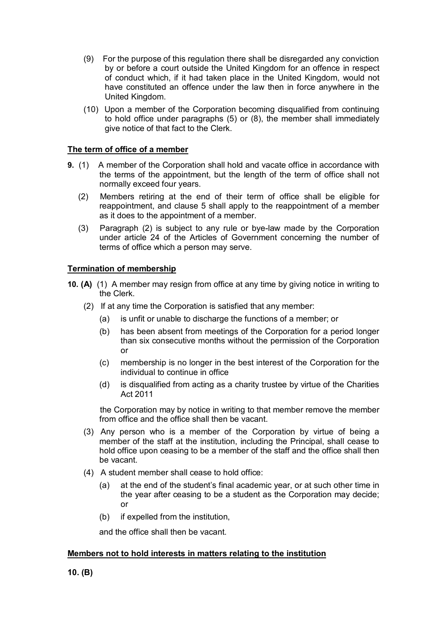- (9) For the purpose of this regulation there shall be disregarded any conviction by or before a court outside the United Kingdom for an offence in respect of conduct which, if it had taken place in the United Kingdom, would not have constituted an offence under the law then in force anywhere in the United Kingdom.
- (10) Upon a member of the Corporation becoming disqualified from continuing to hold office under paragraphs (5) or (8), the member shall immediately give notice of that fact to the Clerk.

### **The term of office of a member**

- **9.** (1)A member of the Corporation shall hold and vacate office in accordance with the terms of the appointment, but the length of the term of office shall not normally exceed four years.
	- (2) Members retiring at the end of their term of office shall be eligible for reappointment, and clause 5 shall apply to the reappointment of a member as it does to the appointment of a member.
	- (3) Paragraph (2) is subject to any rule or bye-law made by the Corporation under article 24 of the Articles of Government concerning the number of terms of office which a person may serve.

### **Termination of membership**

- **10. (A)** (1) A member may resign from office at any time by giving notice in writing to the Clerk.
	- (2) If at any time the Corporation is satisfied that any member:
		- (a) is unfit or unable to discharge the functions of a member; or
		- (b) has been absent from meetings of the Corporation for a period longer than six consecutive months without the permission of the Corporation or
		- (c) membership is no longer in the best interest of the Corporation for the individual to continue in office
		- (d) is disqualified from acting as a charity trustee by virtue of the Charities Act 2011

 the Corporation may by notice in writing to that member remove the member from office and the office shall then be vacant.

- (3) Any person who is a member of the Corporation by virtue of being a member of the staff at the institution, including the Principal, shall cease to hold office upon ceasing to be a member of the staff and the office shall then be vacant.
- (4) A student member shall cease to hold office:
	- (a) at the end of the student's final academic year, or at such other time in the year after ceasing to be a student as the Corporation may decide; or
	- (b) if expelled from the institution,

and the office shall then be vacant.

### **Members not to hold interests in matters relating to the institution**

**10. (B)**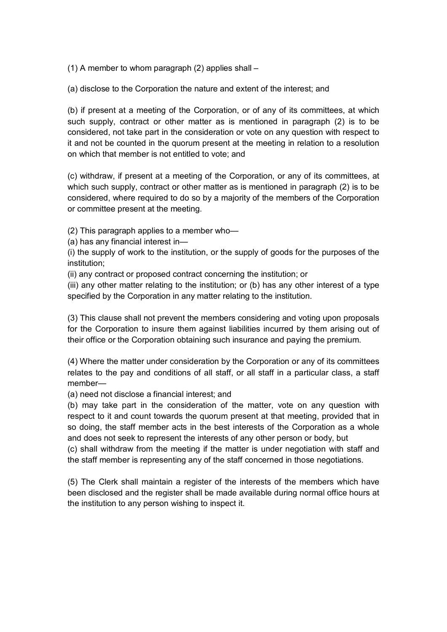(1) A member to whom paragraph (2) applies shall –

(a) disclose to the Corporation the nature and extent of the interest; and

(b) if present at a meeting of the Corporation, or of any of its committees, at which such supply, contract or other matter as is mentioned in paragraph (2) is to be considered, not take part in the consideration or vote on any question with respect to it and not be counted in the quorum present at the meeting in relation to a resolution on which that member is not entitled to vote; and

(c) withdraw, if present at a meeting of the Corporation, or any of its committees, at which such supply, contract or other matter as is mentioned in paragraph (2) is to be considered, where required to do so by a majority of the members of the Corporation or committee present at the meeting.

(2) This paragraph applies to a member who—

(a) has any financial interest in—

(i) the supply of work to the institution, or the supply of goods for the purposes of the institution;

(ii) any contract or proposed contract concerning the institution; or

(iii) any other matter relating to the institution; or (b) has any other interest of a type specified by the Corporation in any matter relating to the institution.

(3) This clause shall not prevent the members considering and voting upon proposals for the Corporation to insure them against liabilities incurred by them arising out of their office or the Corporation obtaining such insurance and paying the premium.

(4) Where the matter under consideration by the Corporation or any of its committees relates to the pay and conditions of all staff, or all staff in a particular class, a staff member—

(a) need not disclose a financial interest; and

(b) may take part in the consideration of the matter, vote on any question with respect to it and count towards the quorum present at that meeting, provided that in so doing, the staff member acts in the best interests of the Corporation as a whole and does not seek to represent the interests of any other person or body, but

(c) shall withdraw from the meeting if the matter is under negotiation with staff and the staff member is representing any of the staff concerned in those negotiations.

(5) The Clerk shall maintain a register of the interests of the members which have been disclosed and the register shall be made available during normal office hours at the institution to any person wishing to inspect it.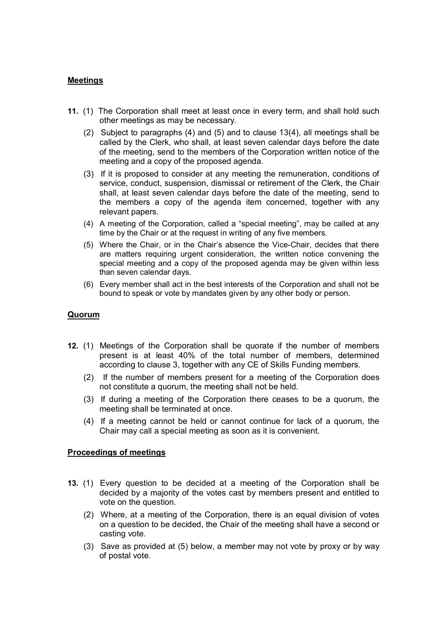### **Meetings**

- **11.** (1) The Corporation shall meet at least once in every term, and shall hold such other meetings as may be necessary.
	- (2) Subject to paragraphs (4) and (5) and to clause 13(4), all meetings shall be called by the Clerk, who shall, at least seven calendar days before the date of the meeting, send to the members of the Corporation written notice of the meeting and a copy of the proposed agenda.
	- (3) If it is proposed to consider at any meeting the remuneration, conditions of service, conduct, suspension, dismissal or retirement of the Clerk, the Chair shall, at least seven calendar days before the date of the meeting, send to the members a copy of the agenda item concerned, together with any relevant papers.
	- (4) A meeting of the Corporation, called a "special meeting", may be called at any time by the Chair or at the request in writing of any five members.
	- (5) Where the Chair, or in the Chair's absence the Vice-Chair, decides that there are matters requiring urgent consideration, the written notice convening the special meeting and a copy of the proposed agenda may be given within less than seven calendar days.
	- (6) Every member shall act in the best interests of the Corporation and shall not be bound to speak or vote by mandates given by any other body or person.

### **Quorum**

- **12.** (1) Meetings of the Corporation shall be quorate if the number of members present is at least 40% of the total number of members, determined according to clause 3, together with any CE of Skills Funding members.
	- (2) If the number of members present for a meeting of the Corporation does not constitute a quorum, the meeting shall not be held.
	- (3) If during a meeting of the Corporation there ceases to be a quorum, the meeting shall be terminated at once.
	- (4) If a meeting cannot be held or cannot continue for lack of a quorum, the Chair may call a special meeting as soon as it is convenient.

### **Proceedings of meetings**

- **13.** (1) Every question to be decided at a meeting of the Corporation shall be decided by a majority of the votes cast by members present and entitled to vote on the question.
	- (2) Where, at a meeting of the Corporation, there is an equal division of votes on a question to be decided, the Chair of the meeting shall have a second or casting vote.
	- (3) Save as provided at (5) below, a member may not vote by proxy or by way of postal vote.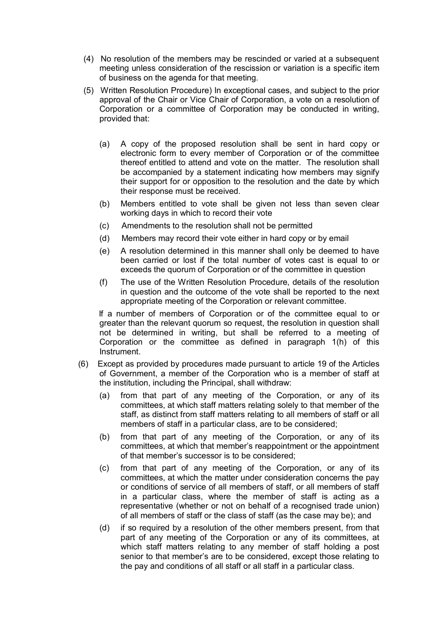- (4) No resolution of the members may be rescinded or varied at a subsequent meeting unless consideration of the rescission or variation is a specific item of business on the agenda for that meeting.
- (5) Written Resolution Procedure) In exceptional cases, and subject to the prior approval of the Chair or Vice Chair of Corporation, a vote on a resolution of Corporation or a committee of Corporation may be conducted in writing, provided that:
	- (a) A copy of the proposed resolution shall be sent in hard copy or electronic form to every member of Corporation or of the committee thereof entitled to attend and vote on the matter. The resolution shall be accompanied by a statement indicating how members may signify their support for or opposition to the resolution and the date by which their response must be received.
	- (b) Members entitled to vote shall be given not less than seven clear working days in which to record their vote
	- (c) Amendments to the resolution shall not be permitted
	- (d) Members may record their vote either in hard copy or by email
	- (e) A resolution determined in this manner shall only be deemed to have been carried or lost if the total number of votes cast is equal to or exceeds the quorum of Corporation or of the committee in question
	- (f) The use of the Written Resolution Procedure, details of the resolution in question and the outcome of the vote shall be reported to the next appropriate meeting of the Corporation or relevant committee.

 If a number of members of Corporation or of the committee equal to or greater than the relevant quorum so request, the resolution in question shall not be determined in writing, but shall be referred to a meeting of Corporation or the committee as defined in paragraph 1(h) of this Instrument.

- (6) Except as provided by procedures made pursuant to article 19 of the Articles of Government, a member of the Corporation who is a member of staff at the institution, including the Principal, shall withdraw:
	- (a) from that part of any meeting of the Corporation, or any of its committees, at which staff matters relating solely to that member of the staff, as distinct from staff matters relating to all members of staff or all members of staff in a particular class, are to be considered;
	- (b) from that part of any meeting of the Corporation, or any of its committees, at which that member's reappointment or the appointment of that member's successor is to be considered;
	- (c) from that part of any meeting of the Corporation, or any of its committees, at which the matter under consideration concerns the pay or conditions of service of all members of staff, or all members of staff in a particular class, where the member of staff is acting as a representative (whether or not on behalf of a recognised trade union) of all members of staff or the class of staff (as the case may be); and
	- (d) if so required by a resolution of the other members present, from that part of any meeting of the Corporation or any of its committees, at which staff matters relating to any member of staff holding a post senior to that member's are to be considered, except those relating to the pay and conditions of all staff or all staff in a particular class.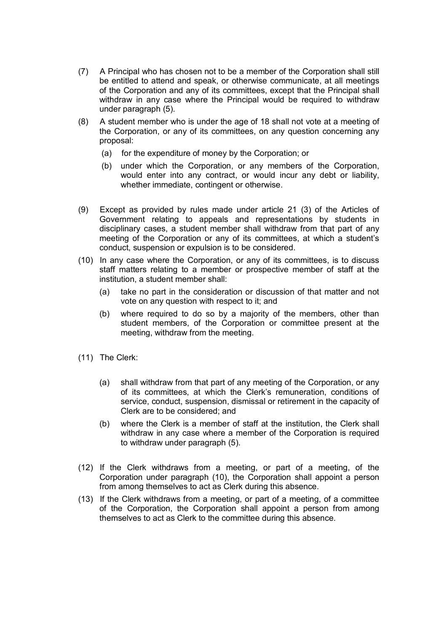- (7) A Principal who has chosen not to be a member of the Corporation shall still be entitled to attend and speak, or otherwise communicate, at all meetings of the Corporation and any of its committees, except that the Principal shall withdraw in any case where the Principal would be required to withdraw under paragraph (5).
- (8) A student member who is under the age of 18 shall not vote at a meeting of the Corporation, or any of its committees, on any question concerning any proposal:
	- (a) for the expenditure of money by the Corporation; or
	- (b) under which the Corporation, or any members of the Corporation, would enter into any contract, or would incur any debt or liability, whether immediate, contingent or otherwise.
- (9) Except as provided by rules made under article 21 (3) of the Articles of Government relating to appeals and representations by students in disciplinary cases, a student member shall withdraw from that part of any meeting of the Corporation or any of its committees, at which a student's conduct, suspension or expulsion is to be considered.
- (10) In any case where the Corporation, or any of its committees, is to discuss staff matters relating to a member or prospective member of staff at the institution, a student member shall:
	- (a) take no part in the consideration or discussion of that matter and not vote on any question with respect to it; and
	- (b) where required to do so by a majority of the members, other than student members, of the Corporation or committee present at the meeting, withdraw from the meeting.
- (11) The Clerk:
	- (a) shall withdraw from that part of any meeting of the Corporation, or any of its committees, at which the Clerk's remuneration, conditions of service, conduct, suspension, dismissal or retirement in the capacity of Clerk are to be considered; and
	- (b) where the Clerk is a member of staff at the institution, the Clerk shall withdraw in any case where a member of the Corporation is required to withdraw under paragraph (5).
- (12) If the Clerk withdraws from a meeting, or part of a meeting, of the Corporation under paragraph (10), the Corporation shall appoint a person from among themselves to act as Clerk during this absence.
- (13) If the Clerk withdraws from a meeting, or part of a meeting, of a committee of the Corporation, the Corporation shall appoint a person from among themselves to act as Clerk to the committee during this absence.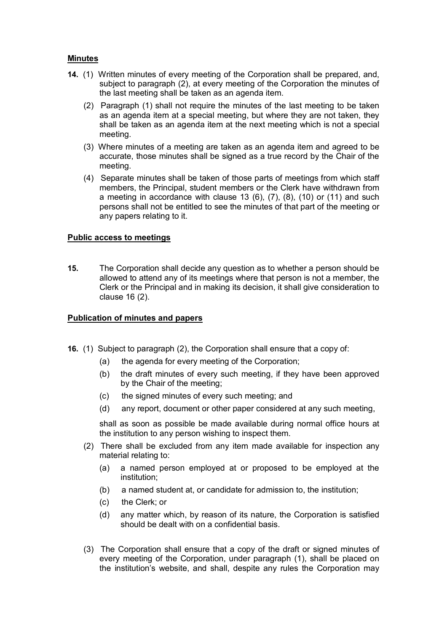### **Minutes**

- **14.** (1) Written minutes of every meeting of the Corporation shall be prepared, and, subject to paragraph (2), at every meeting of the Corporation the minutes of the last meeting shall be taken as an agenda item.
	- (2) Paragraph (1) shall not require the minutes of the last meeting to be taken as an agenda item at a special meeting, but where they are not taken, they shall be taken as an agenda item at the next meeting which is not a special meeting.
	- (3) Where minutes of a meeting are taken as an agenda item and agreed to be accurate, those minutes shall be signed as a true record by the Chair of the meeting.
	- (4) Separate minutes shall be taken of those parts of meetings from which staff members, the Principal, student members or the Clerk have withdrawn from a meeting in accordance with clause 13  $(6)$ ,  $(7)$ ,  $(8)$ ,  $(10)$  or  $(11)$  and such persons shall not be entitled to see the minutes of that part of the meeting or any papers relating to it.

### **Public access to meetings**

**15.** The Corporation shall decide any question as to whether a person should be allowed to attend any of its meetings where that person is not a member, the Clerk or the Principal and in making its decision, it shall give consideration to clause 16 (2).

### **Publication of minutes and papers**

- **16.** (1) Subject to paragraph (2), the Corporation shall ensure that a copy of:
	- (a) the agenda for every meeting of the Corporation;
	- (b) the draft minutes of every such meeting, if they have been approved by the Chair of the meeting;
	- (c) the signed minutes of every such meeting; and
	- (d) any report, document or other paper considered at any such meeting,

shall as soon as possible be made available during normal office hours at the institution to any person wishing to inspect them.

- (2) There shall be excluded from any item made available for inspection any material relating to:
	- (a) a named person employed at or proposed to be employed at the institution;
	- (b) a named student at, or candidate for admission to, the institution;
	- (c) the Clerk; or
	- (d) any matter which, by reason of its nature, the Corporation is satisfied should be dealt with on a confidential basis.
- (3) The Corporation shall ensure that a copy of the draft or signed minutes of every meeting of the Corporation, under paragraph (1), shall be placed on the institution's website, and shall, despite any rules the Corporation may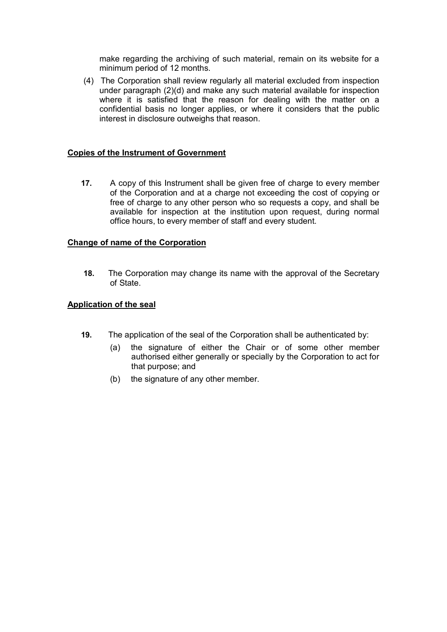make regarding the archiving of such material, remain on its website for a minimum period of 12 months.

(4) The Corporation shall review regularly all material excluded from inspection under paragraph (2)(d) and make any such material available for inspection where it is satisfied that the reason for dealing with the matter on a confidential basis no longer applies, or where it considers that the public interest in disclosure outweighs that reason.

### **Copies of the Instrument of Government**

**17.** A copy of this Instrument shall be given free of charge to every member of the Corporation and at a charge not exceeding the cost of copying or free of charge to any other person who so requests a copy, and shall be available for inspection at the institution upon request, during normal office hours, to every member of staff and every student.

### **Change of name of the Corporation**

**18.** The Corporation may change its name with the approval of the Secretary of State.

### **Application of the seal**

- **19.** The application of the seal of the Corporation shall be authenticated by:
	- (a) the signature of either the Chair or of some other member authorised either generally or specially by the Corporation to act for that purpose; and
	- (b) the signature of any other member.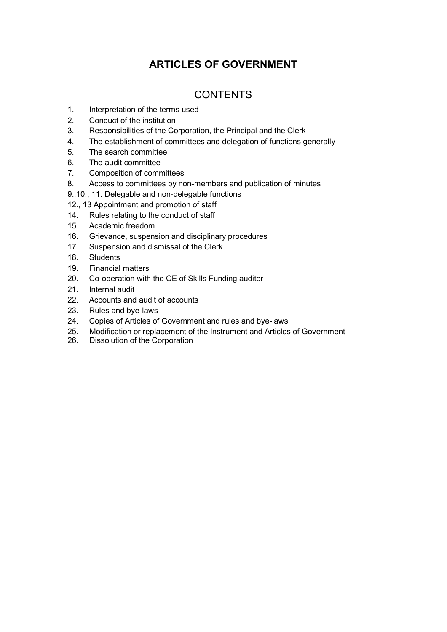### **ARTICLES OF GOVERNMENT**

### **CONTENTS**

- 1. Interpretation of the terms used
- 2. Conduct of the institution
- 3. Responsibilities of the Corporation, the Principal and the Clerk
- 4. The establishment of committees and delegation of functions generally
- 5. The search committee
- 6. The audit committee
- 7. Composition of committees
- 8. Access to committees by non-members and publication of minutes
- 9.,10., 11. Delegable and non-delegable functions
- 12., 13 Appointment and promotion of staff
- 14. Rules relating to the conduct of staff
- 15. Academic freedom
- 16. Grievance, suspension and disciplinary procedures
- 17. Suspension and dismissal of the Clerk
- 18. Students
- 19. Financial matters
- 20. Co-operation with the CE of Skills Funding auditor
- 21. Internal audit
- 22. Accounts and audit of accounts
- 23. Rules and bye-laws
- 24. Copies of Articles of Government and rules and bye-laws
- 25. Modification or replacement of the Instrument and Articles of Government
- Dissolution of the Corporation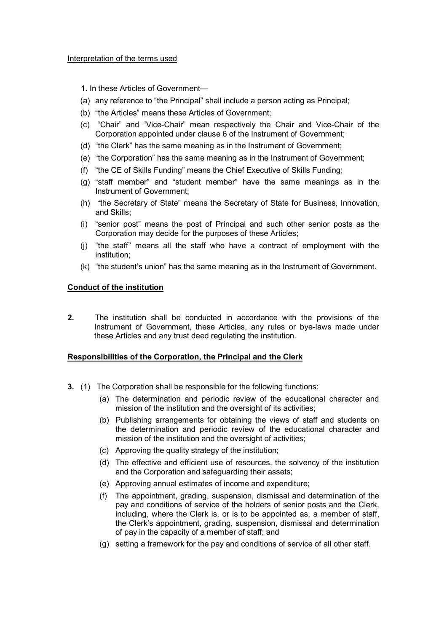**1.** In these Articles of Government—

- (a) any reference to "the Principal" shall include a person acting as Principal;
- (b) "the Articles" means these Articles of Government;
- (c) "Chair" and "Vice-Chair" mean respectively the Chair and Vice-Chair of the Corporation appointed under clause 6 of the Instrument of Government;
- (d) "the Clerk" has the same meaning as in the Instrument of Government;
- (e) "the Corporation" has the same meaning as in the Instrument of Government;
- (f) "the CE of Skills Funding" means the Chief Executive of Skills Funding;
- (g) "staff member" and "student member" have the same meanings as in the Instrument of Government;
- (h) "the Secretary of State" means the Secretary of State for Business, Innovation, and Skills;
- (i) "senior post" means the post of Principal and such other senior posts as the Corporation may decide for the purposes of these Articles;
- (j) "the staff" means all the staff who have a contract of employment with the institution;
- (k) "the student's union" has the same meaning as in the Instrument of Government.

### **Conduct of the institution**

**2.** The institution shall be conducted in accordance with the provisions of the Instrument of Government, these Articles, any rules or bye-laws made under these Articles and any trust deed regulating the institution.

### **Responsibilities of the Corporation, the Principal and the Clerk**

- **3.** (1) The Corporation shall be responsible for the following functions:
	- (a) The determination and periodic review of the educational character and mission of the institution and the oversight of its activities;
	- (b) Publishing arrangements for obtaining the views of staff and students on the determination and periodic review of the educational character and mission of the institution and the oversight of activities;
	- (c) Approving the quality strategy of the institution;
	- (d) The effective and efficient use of resources, the solvency of the institution and the Corporation and safeguarding their assets;
	- (e) Approving annual estimates of income and expenditure;
	- (f) The appointment, grading, suspension, dismissal and determination of the pay and conditions of service of the holders of senior posts and the Clerk, including, where the Clerk is, or is to be appointed as, a member of staff, the Clerk's appointment, grading, suspension, dismissal and determination of pay in the capacity of a member of staff; and
	- (g) setting a framework for the pay and conditions of service of all other staff.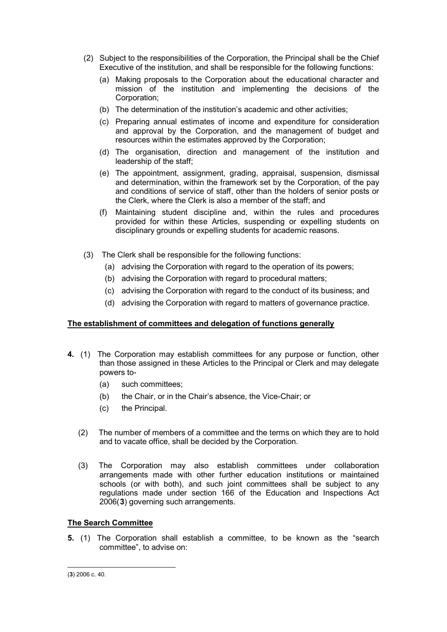- (2) Subject to the responsibilities of the Corporation, the Principal shall be the Chief Executive of the institution, and shall be responsible for the following functions:
	- (a) Making proposals to the Corporation about the educational character and mission of the institution and implementing the decisions of the Corporation;
	- (b) The determination of the institution's academic and other activities;
	- (c) Preparing annual estimates of income and expenditure for consideration and approval by the Corporation, and the management of budget and resources within the estimates approved by the Corporation;
	- (d) The organisation, direction and management of the institution and leadership of the staff;
	- (e) The appointment, assignment, grading, appraisal, suspension, dismissal and determination, within the framework set by the Corporation, of the pay and conditions of service of staff, other than the holders of senior posts or the Clerk, where the Clerk is also a member of the staff; and
	- (f) Maintaining student discipline and, within the rules and procedures provided for within these Articles, suspending or expelling students on disciplinary grounds or expelling students for academic reasons.
- (3) The Clerk shall be responsible for the following functions:
	- (a) advising the Corporation with regard to the operation of its powers;
	- (b) advising the Corporation with regard to procedural matters;
	- (c) advising the Corporation with regard to the conduct of its business; and
	- (d) advising the Corporation with regard to matters of governance practice.

### **The establishment of committees and delegation of functions generally**

- **4.** (1)The Corporation may establish committees for any purpose or function, other than those assigned in these Articles to the Principal or Clerk and may delegate powers to-
	- (a) such committees;
	- (b) the Chair, or in the Chair's absence, the Vice-Chair; or
	- (c) the Principal.
	- (2) The number of members of a committee and the terms on which they are to hold and to vacate office, shall be decided by the Corporation.
	- (3) The Corporation may also establish committees under collaboration arrangements made with other further education institutions or maintained schools (or with both), and such joint committees shall be subject to any regulations made under section 166 of the Education and Inspections Act 2006(**[3](#page-15-0)**) governing such arrangements.

### **The Search Committee**

**5.** (1) The Corporation shall establish a committee, to be known as the "search committee", to advise on:

<span id="page-15-0"></span><sup>-</sup>(**3**) 2006 c. 40.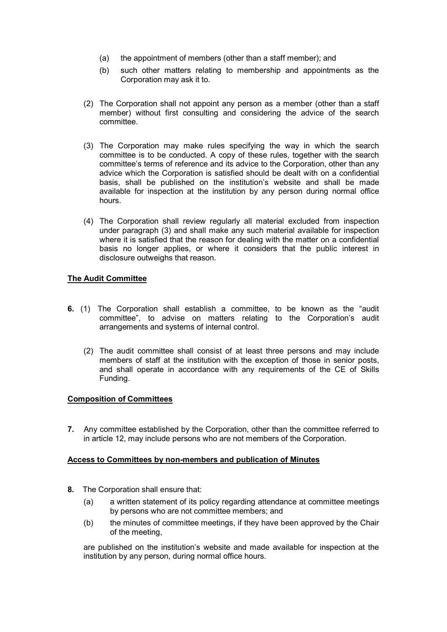- (a) the appointment of members (other than a staff member); and
- (b) such other matters relating to membership and appointments as the Corporation may ask it to.
- (2) The Corporation shall not appoint any person as a member (other than a staff member) without first consulting and considering the advice of the search committee.
- (3) The Corporation may make rules specifying the way in which the search committee is to be conducted. A copy of these rules, together with the search committee's terms of reference and its advice to the Corporation, other than any advice which the Corporation is satisfied should be dealt with on a confidential basis, shall be published on the institution's website and shall be made available for inspection at the institution by any person during normal office hours.
- (4) The Corporation shall review regularly all material excluded from inspection under paragraph (3) and shall make any such material available for inspection where it is satisfied that the reason for dealing with the matter on a confidential basis no longer applies, or where it considers that the public interest in disclosure outweighs that reason.

### **The Audit Committee**

- **6.** (1) The Corporation shall establish a committee, to be known as the "audit committee", to advise on matters relating to the Corporation's audit arrangements and systems of internal control.
	- (2) The audit committee shall consist of at least three persons and may include members of staff at the institution with the exception of those in senior posts, and shall operate in accordance with any requirements of the CE of Skills Funding.

### **Composition of Committees**

**7.** Any committee established by the Corporation, other than the committee referred to in article 12, may include persons who are not members of the Corporation.

### **Access to Committees by non-members and publication of Minutes**

- **8.** The Corporation shall ensure that:
	- (a) a written statement of its policy regarding attendance at committee meetings by persons who are not committee members; and
	- (b) the minutes of committee meetings, if they have been approved by the Chair of the meeting,

are published on the institution's website and made available for inspection at the institution by any person, during normal office hours.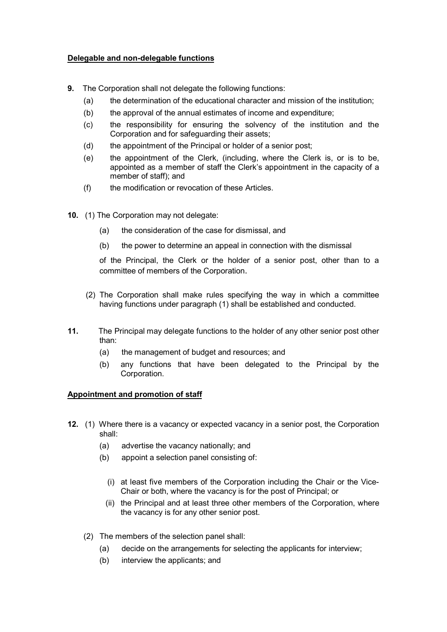### **Delegable and non-delegable functions**

- **9.** The Corporation shall not delegate the following functions:
	- (a) the determination of the educational character and mission of the institution;
	- (b) the approval of the annual estimates of income and expenditure;
	- (c) the responsibility for ensuring the solvency of the institution and the Corporation and for safeguarding their assets;
	- (d) the appointment of the Principal or holder of a senior post;
	- (e) the appointment of the Clerk, (including, where the Clerk is, or is to be, appointed as a member of staff the Clerk's appointment in the capacity of a member of staff); and
	- (f) the modification or revocation of these Articles.
- **10.** (1) The Corporation may not delegate:
	- (a) the consideration of the case for dismissal, and
	- (b) the power to determine an appeal in connection with the dismissal

of the Principal, the Clerk or the holder of a senior post, other than to a committee of members of the Corporation.

- (2) The Corporation shall make rules specifying the way in which a committee having functions under paragraph (1) shall be established and conducted.
- **11.** The Principal may delegate functions to the holder of any other senior post other than:
	- (a) the management of budget and resources; and
	- (b) any functions that have been delegated to the Principal by the Corporation.

### **Appointment and promotion of staff**

- **12.** (1) Where there is a vacancy or expected vacancy in a senior post, the Corporation shall:
	- (a) advertise the vacancy nationally; and
	- (b) appoint a selection panel consisting of:
		- (i) at least five members of the Corporation including the Chair or the Vice-Chair or both, where the vacancy is for the post of Principal; or
		- (ii) the Principal and at least three other members of the Corporation, where the vacancy is for any other senior post.
	- (2) The members of the selection panel shall:
		- (a) decide on the arrangements for selecting the applicants for interview;
		- (b) interview the applicants; and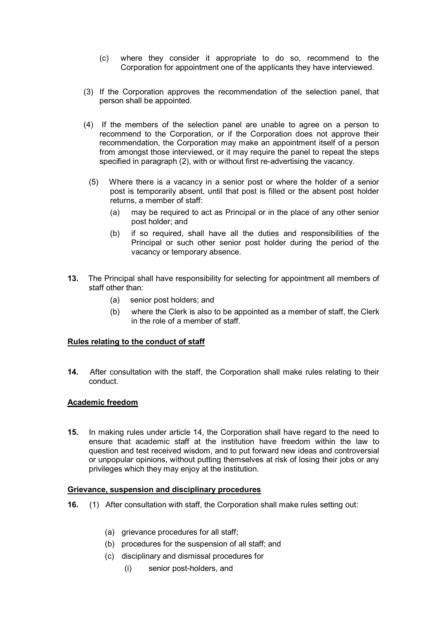- (c) where they consider it appropriate to do so, recommend to the Corporation for appointment one of the applicants they have interviewed.
- (3) If the Corporation approves the recommendation of the selection panel, that person shall be appointed.
- (4) If the members of the selection panel are unable to agree on a person to recommend to the Corporation, or if the Corporation does not approve their recommendation, the Corporation may make an appointment itself of a person from amongst those interviewed, or it may require the panel to repeat the steps specified in paragraph (2), with or without first re-advertising the vacancy.
	- (5) Where there is a vacancy in a senior post or where the holder of a senior post is temporarily absent, until that post is filled or the absent post holder returns, a member of staff:
		- (a) may be required to act as Principal or in the place of any other senior post holder; and
		- (b) if so required, shall have all the duties and responsibilities of the Principal or such other senior post holder during the period of the vacancy or temporary absence.
- **13.** The Principal shall have responsibility for selecting for appointment all members of staff other than:
	- (a) senior post holders; and
	- (b) where the Clerk is also to be appointed as a member of staff, the Clerk in the role of a member of staff.

### **Rules relating to the conduct of staff**

**14.** After consultation with the staff, the Corporation shall make rules relating to their conduct.

### **Academic freedom**

**15.** In making rules under article 14, the Corporation shall have regard to the need to ensure that academic staff at the institution have freedom within the law to question and test received wisdom, and to put forward new ideas and controversial or unpopular opinions, without putting themselves at risk of losing their jobs or any privileges which they may enjoy at the institution.

### **Grievance, suspension and disciplinary procedures**

- **16.** (1) After consultation with staff, the Corporation shall make rules setting out:
	- (a) grievance procedures for all staff;
	- (b) procedures for the suspension of all staff; and
	- (c) disciplinary and dismissal procedures for
		- (i) senior post-holders, and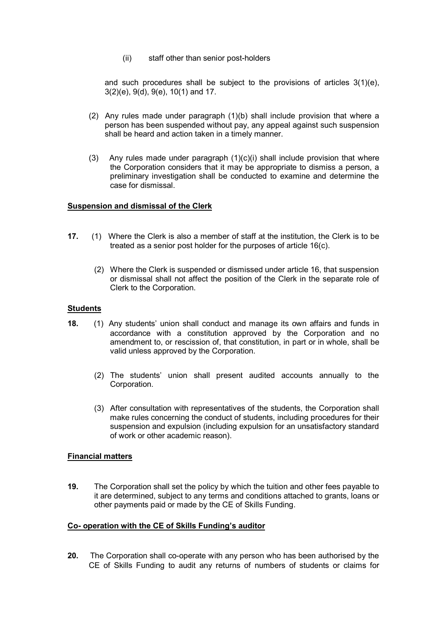(ii) staff other than senior post-holders

 and such procedures shall be subject to the provisions of articles 3(1)(e), 3(2)(e), 9(d), 9(e), 10(1) and 17.

- (2) Any rules made under paragraph (1)(b) shall include provision that where a person has been suspended without pay, any appeal against such suspension shall be heard and action taken in a timely manner.
- (3) Any rules made under paragraph (1)(c)(i) shall include provision that where the Corporation considers that it may be appropriate to dismiss a person, a preliminary investigation shall be conducted to examine and determine the case for dismissal.

### **Suspension and dismissal of the Clerk**

- **17.** (1)Where the Clerk is also a member of staff at the institution, the Clerk is to be treated as a senior post holder for the purposes of article 16(c).
	- (2) Where the Clerk is suspended or dismissed under article 16, that suspension or dismissal shall not affect the position of the Clerk in the separate role of Clerk to the Corporation.

### **Students**

- **18.** (1) Any students' union shall conduct and manage its own affairs and funds in accordance with a constitution approved by the Corporation and no amendment to, or rescission of, that constitution, in part or in whole, shall be valid unless approved by the Corporation.
	- (2) The students' union shall present audited accounts annually to the Corporation.
	- (3) After consultation with representatives of the students, the Corporation shall make rules concerning the conduct of students, including procedures for their suspension and expulsion (including expulsion for an unsatisfactory standard of work or other academic reason).

### **Financial matters**

**19.** The Corporation shall set the policy by which the tuition and other fees payable to it are determined, subject to any terms and conditions attached to grants, loans or other payments paid or made by the CE of Skills Funding.

### **Co- operation with the CE of Skills Funding's auditor**

**20.** The Corporation shall co-operate with any person who has been authorised by the CE of Skills Funding to audit any returns of numbers of students or claims for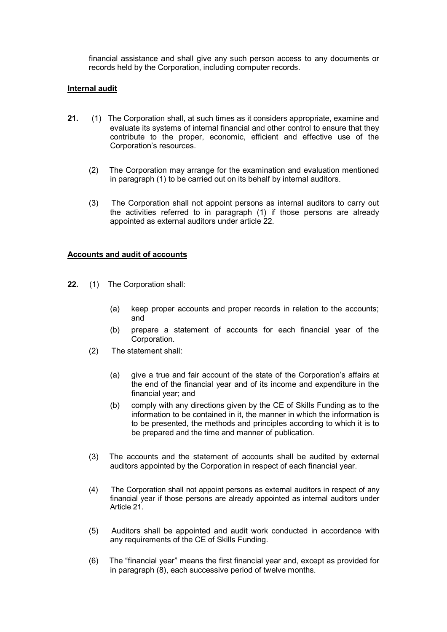financial assistance and shall give any such person access to any documents or records held by the Corporation, including computer records.

### **Internal audit**

- **21.** (1)The Corporation shall, at such times as it considers appropriate, examine and evaluate its systems of internal financial and other control to ensure that they contribute to the proper, economic, efficient and effective use of the Corporation's resources.
	- (2) The Corporation may arrange for the examination and evaluation mentioned in paragraph (1) to be carried out on its behalf by internal auditors.
	- (3) The Corporation shall not appoint persons as internal auditors to carry out the activities referred to in paragraph (1) if those persons are already appointed as external auditors under article 22.

#### **Accounts and audit of accounts**

- **22.** (1)The Corporation shall:
	- (a) keep proper accounts and proper records in relation to the accounts; and
	- (b) prepare a statement of accounts for each financial year of the Corporation.
	- (2) The statement shall:
		- (a) give a true and fair account of the state of the Corporation's affairs at the end of the financial year and of its income and expenditure in the financial year; and
		- (b) comply with any directions given by the CE of Skills Funding as to the information to be contained in it, the manner in which the information is to be presented, the methods and principles according to which it is to be prepared and the time and manner of publication.
	- (3) The accounts and the statement of accounts shall be audited by external auditors appointed by the Corporation in respect of each financial year.
	- (4) The Corporation shall not appoint persons as external auditors in respect of any financial year if those persons are already appointed as internal auditors under Article 21.
	- (5) Auditors shall be appointed and audit work conducted in accordance with any requirements of the CE of Skills Funding.
	- (6) The "financial year" means the first financial year and, except as provided for in paragraph (8), each successive period of twelve months.